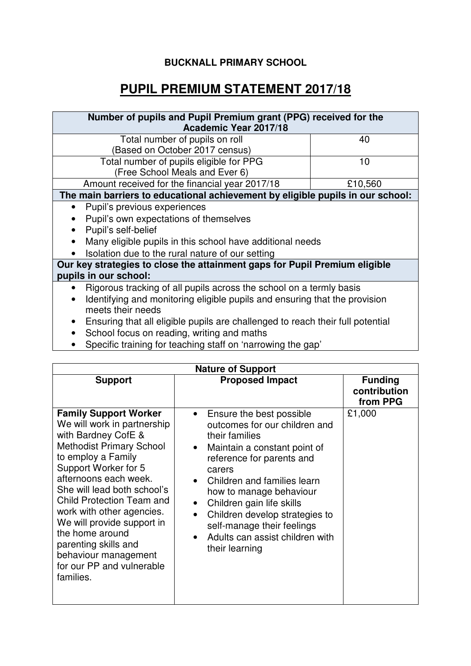## **BUCKNALL PRIMARY SCHOOL**

## **PUPIL PREMIUM STATEMENT 2017/18**

| Number of pupils and Pupil Premium grant (PPG) received for the<br>Academic Year 2017/18                     |         |  |  |
|--------------------------------------------------------------------------------------------------------------|---------|--|--|
| Total number of pupils on roll                                                                               | 40      |  |  |
| (Based on October 2017 census)                                                                               |         |  |  |
| Total number of pupils eligible for PPG                                                                      | 10      |  |  |
| (Free School Meals and Ever 6)                                                                               |         |  |  |
| Amount received for the financial year 2017/18                                                               | £10,560 |  |  |
| The main barriers to educational achievement by eligible pupils in our school:                               |         |  |  |
| Pupil's previous experiences                                                                                 |         |  |  |
| Pupil's own expectations of themselves                                                                       |         |  |  |
| Pupil's self-belief                                                                                          |         |  |  |
| Many eligible pupils in this school have additional needs                                                    |         |  |  |
| Isolation due to the rural nature of our setting<br>$\bullet$                                                |         |  |  |
| Our key strategies to close the attainment gaps for Pupil Premium eligible                                   |         |  |  |
| pupils in our school:                                                                                        |         |  |  |
| Rigorous tracking of all pupils across the school on a termly basis<br>$\bullet$                             |         |  |  |
| Identifying and monitoring eligible pupils and ensuring that the provision<br>$\bullet$<br>meets their needs |         |  |  |
| Ensuring that all eligible pupils are challenged to reach their full potential                               |         |  |  |

- Ensuring that all eligible pupils are challenged to reach their full potential
- School focus on reading, writing and maths
- Specific training for teaching staff on 'narrowing the gap'

| <b>Nature of Support</b>                                                                                                                                                                                                                                                                                                                                                                                                                |                                                                                                                                                                                                                                                                                                                                                                             |                                            |  |  |
|-----------------------------------------------------------------------------------------------------------------------------------------------------------------------------------------------------------------------------------------------------------------------------------------------------------------------------------------------------------------------------------------------------------------------------------------|-----------------------------------------------------------------------------------------------------------------------------------------------------------------------------------------------------------------------------------------------------------------------------------------------------------------------------------------------------------------------------|--------------------------------------------|--|--|
| <b>Support</b>                                                                                                                                                                                                                                                                                                                                                                                                                          | <b>Proposed Impact</b>                                                                                                                                                                                                                                                                                                                                                      | <b>Funding</b><br>contribution<br>from PPG |  |  |
| <b>Family Support Worker</b><br>We will work in partnership<br>with Bardney CofE &<br><b>Methodist Primary School</b><br>to employ a Family<br>Support Worker for 5<br>afternoons each week.<br>She will lead both school's<br><b>Child Protection Team and</b><br>work with other agencies.<br>We will provide support in<br>the home around<br>parenting skills and<br>behaviour management<br>for our PP and vulnerable<br>families. | Ensure the best possible<br>outcomes for our children and<br>their families<br>Maintain a constant point of<br>reference for parents and<br>carers<br>Children and families learn<br>how to manage behaviour<br>Children gain life skills<br>Children develop strategies to<br>$\bullet$<br>self-manage their feelings<br>Adults can assist children with<br>their learning | £1,000                                     |  |  |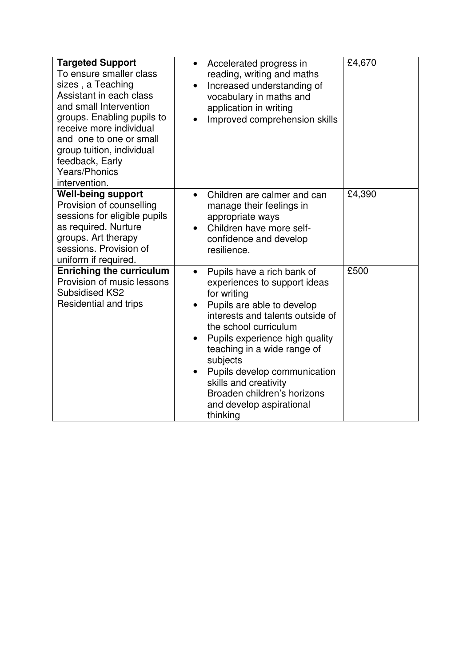| <b>Targeted Support</b><br>To ensure smaller class<br>sizes, a Teaching<br>Assistant in each class<br>and small Intervention<br>groups. Enabling pupils to<br>receive more individual<br>and one to one or small<br>group tuition, individual<br>feedback, Early<br><b>Years/Phonics</b><br>intervention. | Accelerated progress in<br>$\bullet$<br>reading, writing and maths<br>Increased understanding of<br>vocabulary in maths and<br>application in writing<br>Improved comprehension skills                                                                                                                                                                                            | £4,670 |
|-----------------------------------------------------------------------------------------------------------------------------------------------------------------------------------------------------------------------------------------------------------------------------------------------------------|-----------------------------------------------------------------------------------------------------------------------------------------------------------------------------------------------------------------------------------------------------------------------------------------------------------------------------------------------------------------------------------|--------|
| <b>Well-being support</b><br>Provision of counselling<br>sessions for eligible pupils<br>as required. Nurture<br>groups. Art therapy<br>sessions. Provision of<br>uniform if required.                                                                                                                    | Children are calmer and can<br>$\bullet$<br>manage their feelings in<br>appropriate ways<br>Children have more self-<br>confidence and develop<br>resilience.                                                                                                                                                                                                                     | £4,390 |
| <b>Enriching the curriculum</b><br>Provision of music lessons<br><b>Subsidised KS2</b><br>Residential and trips                                                                                                                                                                                           | Pupils have a rich bank of<br>experiences to support ideas<br>for writing<br>Pupils are able to develop<br>interests and talents outside of<br>the school curriculum<br>Pupils experience high quality<br>teaching in a wide range of<br>subjects<br>Pupils develop communication<br>skills and creativity<br>Broaden children's horizons<br>and develop aspirational<br>thinking | £500   |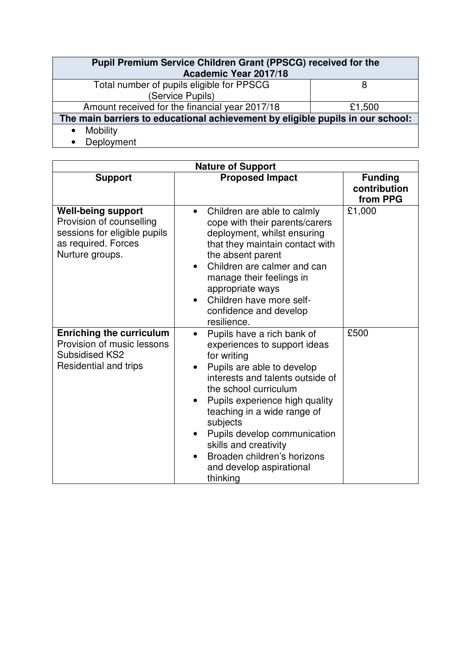| Pupil Premium Service Children Grant (PPSCG) received for the<br>Academic Year 2017/18 |        |  |  |
|----------------------------------------------------------------------------------------|--------|--|--|
| Total number of pupils eligible for PPSCG<br>(Service Pupils)                          | 8      |  |  |
|                                                                                        |        |  |  |
| Amount received for the financial year 2017/18                                         | £1,500 |  |  |
| The main barriers to educational achievement by eligible pupils in our school:         |        |  |  |
| <b>Mobility</b>                                                                        |        |  |  |
| Deployment                                                                             |        |  |  |

| <b>Nature of Support</b>                                                                                                        |                                                                                                                                                                                                                                                                                                                                                                                                |                                            |  |
|---------------------------------------------------------------------------------------------------------------------------------|------------------------------------------------------------------------------------------------------------------------------------------------------------------------------------------------------------------------------------------------------------------------------------------------------------------------------------------------------------------------------------------------|--------------------------------------------|--|
| <b>Support</b>                                                                                                                  | <b>Proposed Impact</b>                                                                                                                                                                                                                                                                                                                                                                         | <b>Funding</b><br>contribution<br>from PPG |  |
| <b>Well-being support</b><br>Provision of counselling<br>sessions for eligible pupils<br>as required. Forces<br>Nurture groups. | Children are able to calmly<br>$\bullet$<br>cope with their parents/carers<br>deployment, whilst ensuring<br>that they maintain contact with<br>the absent parent<br>Children are calmer and can<br>manage their feelings in<br>appropriate ways<br>Children have more self-<br>confidence and develop<br>resilience.                                                                          | £1,000                                     |  |
| <b>Enriching the curriculum</b><br>Provision of music lessons<br><b>Subsidised KS2</b><br>Residential and trips                 | Pupils have a rich bank of<br>experiences to support ideas<br>for writing<br>Pupils are able to develop<br>interests and talents outside of<br>the school curriculum<br>Pupils experience high quality<br>$\bullet$<br>teaching in a wide range of<br>subjects<br>Pupils develop communication<br>skills and creativity<br>Broaden children's horizons<br>and develop aspirational<br>thinking | £500                                       |  |